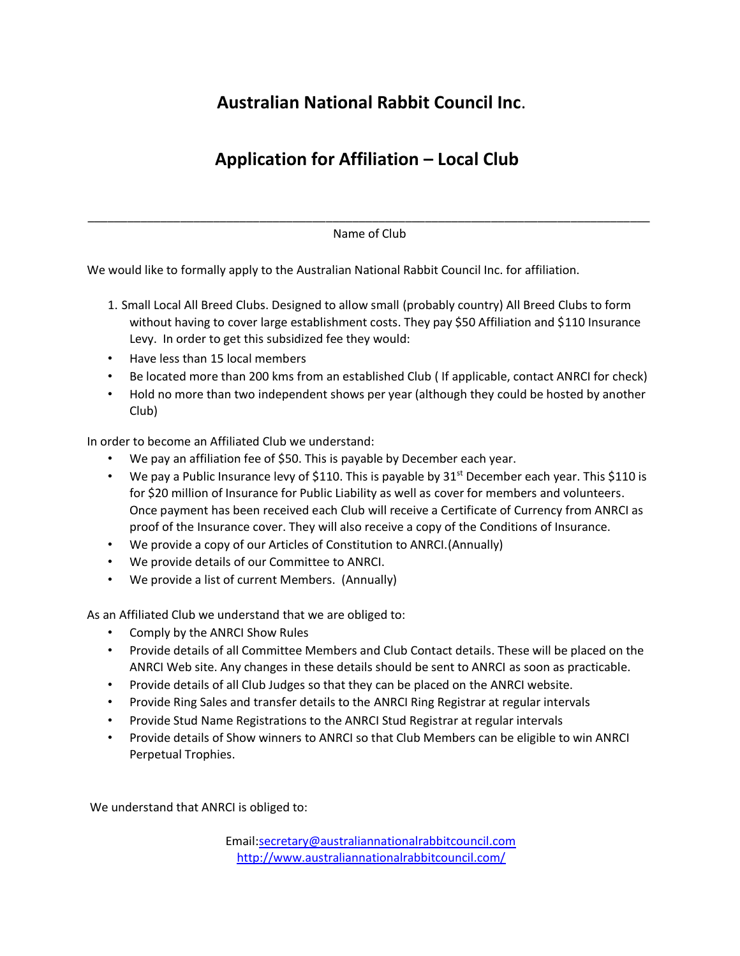## **Australian National Rabbit Council Inc**.

## **Application for Affiliation – Local Club**

\_\_\_\_\_\_\_\_\_\_\_\_\_\_\_\_\_\_\_\_\_\_\_\_\_\_\_\_\_\_\_\_\_\_\_\_\_\_\_\_\_\_\_\_\_\_\_\_\_\_\_\_\_\_\_\_\_\_\_\_\_\_\_\_\_\_\_\_\_\_\_\_\_\_\_\_\_\_\_\_\_\_\_\_\_ Name of Club

We would like to formally apply to the Australian National Rabbit Council Inc. for affiliation.

- 1. Small Local All Breed Clubs. Designed to allow small (probably country) All Breed Clubs to form without having to cover large establishment costs. They pay \$50 Affiliation and \$110 Insurance Levy. In order to get this subsidized fee they would:
- Have less than 15 local members
- Be located more than 200 kms from an established Club ( If applicable, contact ANRCI for check)
- Hold no more than two independent shows per year (although they could be hosted by another Club)

In order to become an Affiliated Club we understand:

- We pay an affiliation fee of \$50. This is payable by December each year.
- We pay a Public Insurance levy of \$110. This is payable by  $31^{st}$  December each year. This \$110 is for \$20 million of Insurance for Public Liability as well as cover for members and volunteers. Once payment has been received each Club will receive a Certificate of Currency from ANRCI as proof of the Insurance cover. They will also receive a copy of the Conditions of Insurance.
- We provide a copy of our Articles of Constitution to ANRCI.(Annually)
- We provide details of our Committee to ANRCI.
- We provide a list of current Members. (Annually)

As an Affiliated Club we understand that we are obliged to:

- Comply by the ANRCI Show Rules
- Provide details of all Committee Members and Club Contact details. These will be placed on the ANRCI Web site. Any changes in these details should be sent to ANRCI as soon as practicable.
- Provide details of all Club Judges so that they can be placed on the ANRCI website.
- Provide Ring Sales and transfer details to the ANRCI Ring Registrar at regular intervals
- Provide Stud Name Registrations to the ANRCI Stud Registrar at regular intervals
- Provide details of Show winners to ANRCI so that Club Members can be eligible to win ANRCI Perpetual Trophies.

We understand that ANRCI is obliged to:

Email:secretary@australiannationalrabbitcouncil.com <http://www.australiannationalrabbitcouncil.com/>